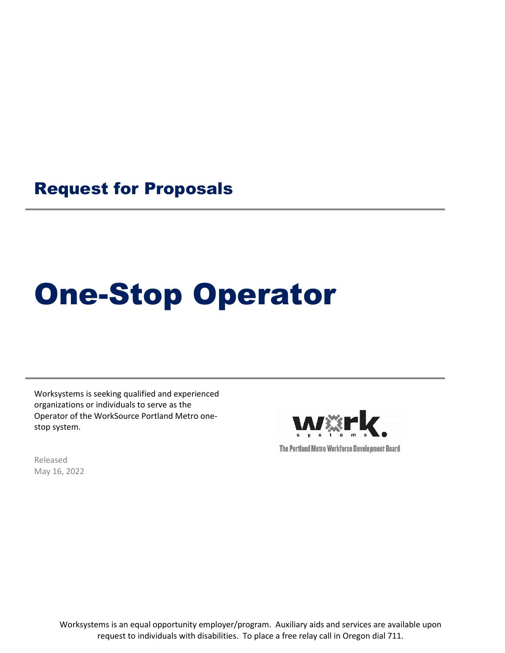Request for Proposals

# One-Stop Operator

Worksystems is seeking qualified and experienced organizations or individuals to serve as the Operator of the WorkSource Portland Metro onestop system.



Released May 16, 2022

> Worksystems is an equal opportunity employer/program. Auxiliary aids and services are available upon request to individuals with disabilities. To place a free relay call in Oregon dial 711.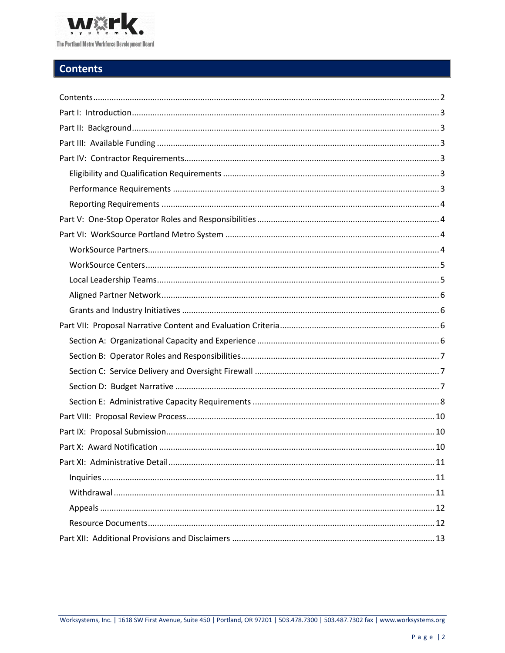

# <span id="page-1-0"></span>**Contents**

| Part XI: Administrative Detail<br>11 |
|--------------------------------------|
|                                      |
|                                      |
|                                      |
|                                      |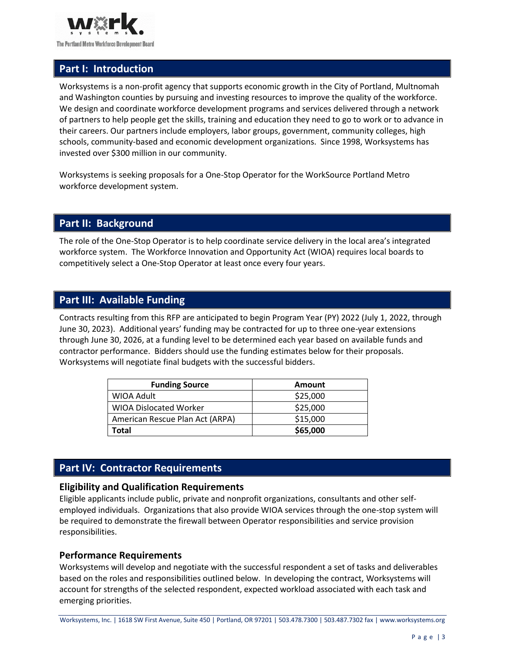

# <span id="page-2-0"></span>**Part I: Introduction**

Worksystems is a non-profit agency that supports economic growth in the City of Portland, Multnomah and Washington counties by pursuing and investing resources to improve the quality of the workforce. We design and coordinate workforce development programs and services delivered through a network of partners to help people get the skills, training and education they need to go to work or to advance in their careers. Our partners include employers, labor groups, government, community colleges, high schools, community-based and economic development organizations. Since 1998, Worksystems has invested over \$300 million in our community.

Worksystems is seeking proposals for a One-Stop Operator for the WorkSource Portland Metro workforce development system.

## <span id="page-2-1"></span>**Part II: Background**

The role of the One-Stop Operator is to help coordinate service delivery in the local area's integrated workforce system. The Workforce Innovation and Opportunity Act (WIOA) requires local boards to competitively select a One-Stop Operator at least once every four years.

## <span id="page-2-2"></span>**Part III: Available Funding**

Contracts resulting from this RFP are anticipated to begin Program Year (PY) 2022 (July 1, 2022, through June 30, 2023). Additional years' funding may be contracted for up to three one-year extensions through June 30, 2026, at a funding level to be determined each year based on available funds and contractor performance. Bidders should use the funding estimates below for their proposals. Worksystems will negotiate final budgets with the successful bidders.

| <b>Funding Source</b>           | Amount   |
|---------------------------------|----------|
| WIOA Adult                      | \$25,000 |
| <b>WIOA Dislocated Worker</b>   | \$25,000 |
| American Rescue Plan Act (ARPA) | \$15,000 |
| Total                           | \$65,000 |

## <span id="page-2-3"></span>**Part IV: Contractor Requirements**

#### <span id="page-2-4"></span>**Eligibility and Qualification Requirements**

Eligible applicants include public, private and nonprofit organizations, consultants and other selfemployed individuals. Organizations that also provide WIOA services through the one-stop system will be required to demonstrate the firewall between Operator responsibilities and service provision responsibilities.

#### <span id="page-2-5"></span>**Performance Requirements**

Worksystems will develop and negotiate with the successful respondent a set of tasks and deliverables based on the roles and responsibilities outlined below. In developing the contract, Worksystems will account for strengths of the selected respondent, expected workload associated with each task and emerging priorities.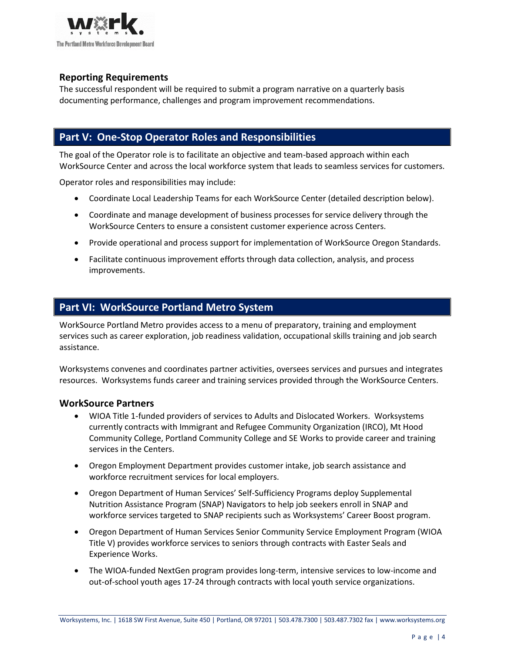

## <span id="page-3-0"></span>**Reporting Requirements**

The successful respondent will be required to submit a program narrative on a quarterly basis documenting performance, challenges and program improvement recommendations.

# <span id="page-3-1"></span>**Part V: One-Stop Operator Roles and Responsibilities**

The goal of the Operator role is to facilitate an objective and team-based approach within each WorkSource Center and across the local workforce system that leads to seamless services for customers.

Operator roles and responsibilities may include:

- Coordinate Local Leadership Teams for each WorkSource Center (detailed description below).
- Coordinate and manage development of business processes for service delivery through the WorkSource Centers to ensure a consistent customer experience across Centers.
- Provide operational and process support for implementation of WorkSource Oregon Standards.
- Facilitate continuous improvement efforts through data collection, analysis, and process improvements.

# <span id="page-3-2"></span>**Part VI: WorkSource Portland Metro System**

WorkSource Portland Metro provides access to a menu of preparatory, training and employment services such as career exploration, job readiness validation, occupational skills training and job search assistance.

Worksystems convenes and coordinates partner activities, oversees services and pursues and integrates resources. Worksystems funds career and training services provided through the WorkSource Centers.

#### <span id="page-3-3"></span>**WorkSource Partners**

- WIOA Title 1-funded providers of services to Adults and Dislocated Workers. Worksystems currently contracts with Immigrant and Refugee Community Organization (IRCO), Mt Hood Community College, Portland Community College and SE Works to provide career and training services in the Centers.
- Oregon Employment Department provides customer intake, job search assistance and workforce recruitment services for local employers.
- Oregon Department of Human Services' Self-Sufficiency Programs deploy Supplemental Nutrition Assistance Program (SNAP) Navigators to help job seekers enroll in SNAP and workforce services targeted to SNAP recipients such as Worksystems' Career Boost program.
- Oregon Department of Human Services Senior Community Service Employment Program (WIOA Title V) provides workforce services to seniors through contracts with Easter Seals and Experience Works.
- The WIOA-funded NextGen program provides long-term, intensive services to low-income and out-of-school youth ages 17-24 through contracts with local youth service organizations.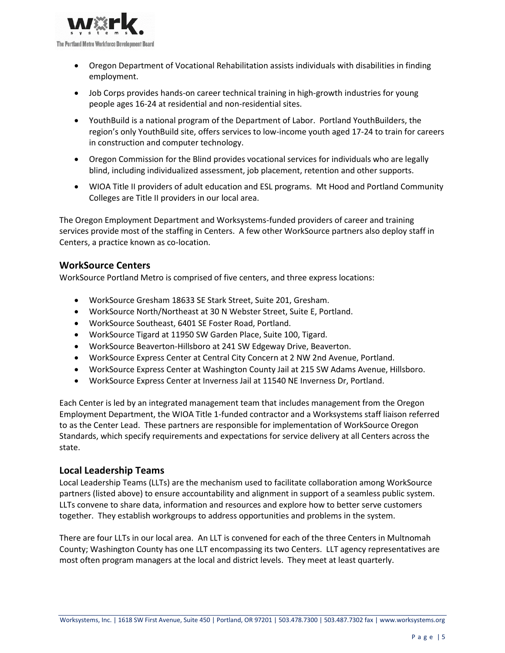

- Oregon Department of Vocational Rehabilitation assists individuals with disabilities in finding employment.
- Job Corps provides hands-on career technical training in high-growth industries for young people ages 16-24 at residential and non-residential sites.
- YouthBuild is a national program of the Department of Labor. Portland YouthBuilders, the region's only YouthBuild site, offers services to low-income youth aged 17-24 to train for careers in construction and computer technology.
- Oregon Commission for the Blind provides vocational services for individuals who are legally blind, including individualized assessment, job placement, retention and other supports.
- WIOA Title II providers of adult education and ESL programs. Mt Hood and Portland Community Colleges are Title II providers in our local area.

The Oregon Employment Department and Worksystems-funded providers of career and training services provide most of the staffing in Centers. A few other WorkSource partners also deploy staff in Centers, a practice known as co-location.

#### <span id="page-4-0"></span>**WorkSource Centers**

WorkSource Portland Metro is comprised of five centers, and three express locations:

- WorkSource Gresham 18633 SE Stark Street, Suite 201, Gresham.
- WorkSource North/Northeast at 30 N Webster Street, Suite E, Portland.
- WorkSource Southeast, 6401 SE Foster Road, Portland.
- WorkSource Tigard at 11950 SW Garden Place, Suite 100, Tigard.
- WorkSource Beaverton-Hillsboro at 241 SW Edgeway Drive, Beaverton.
- WorkSource Express Center at Central City Concern at 2 NW 2nd Avenue, Portland.
- WorkSource Express Center at Washington County Jail at 215 SW Adams Avenue, Hillsboro.
- WorkSource Express Center at Inverness Jail at 11540 NE Inverness Dr, Portland.

Each Center is led by an integrated management team that includes management from the Oregon Employment Department, the WIOA Title 1-funded contractor and a Worksystems staff liaison referred to as the Center Lead. These partners are responsible for implementation of WorkSource Oregon Standards, which specify requirements and expectations for service delivery at all Centers across the state.

#### <span id="page-4-1"></span>**Local Leadership Teams**

Local Leadership Teams (LLTs) are the mechanism used to facilitate collaboration among WorkSource partners (listed above) to ensure accountability and alignment in support of a seamless public system. LLTs convene to share data, information and resources and explore how to better serve customers together. They establish workgroups to address opportunities and problems in the system.

There are four LLTs in our local area. An LLT is convened for each of the three Centers in Multnomah County; Washington County has one LLT encompassing its two Centers. LLT agency representatives are most often program managers at the local and district levels. They meet at least quarterly.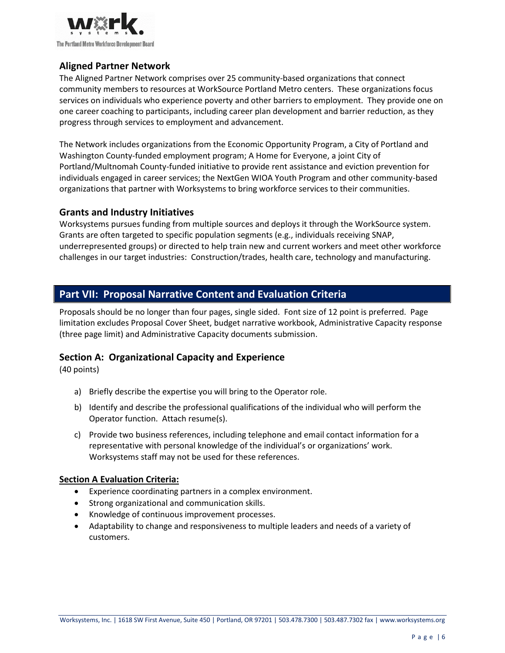

## <span id="page-5-0"></span>**Aligned Partner Network**

The Aligned Partner Network comprises over 25 community-based organizations that connect community members to resources at WorkSource Portland Metro centers. These organizations focus services on individuals who experience poverty and other barriers to employment. They provide one on one career coaching to participants, including career plan development and barrier reduction, as they progress through services to employment and advancement.

The Network includes organizations from the Economic Opportunity Program, a City of Portland and Washington County-funded employment program; A Home for Everyone, a joint City of Portland/Multnomah County-funded initiative to provide rent assistance and eviction prevention for individuals engaged in career services; the NextGen WIOA Youth Program and other community-based organizations that partner with Worksystems to bring workforce services to their communities.

#### <span id="page-5-1"></span>**Grants and Industry Initiatives**

Worksystems pursues funding from multiple sources and deploys it through the WorkSource system. Grants are often targeted to specific population segments (e.g., individuals receiving SNAP, underrepresented groups) or directed to help train new and current workers and meet other workforce challenges in our target industries: Construction/trades, health care, technology and manufacturing.

# <span id="page-5-2"></span>**Part VII: Proposal Narrative Content and Evaluation Criteria**

Proposals should be no longer than four pages, single sided. Font size of 12 point is preferred. Page limitation excludes Proposal Cover Sheet, budget narrative workbook, Administrative Capacity response (three page limit) and Administrative Capacity documents submission.

#### <span id="page-5-3"></span>**Section A: Organizational Capacity and Experience**

(40 points)

- a) Briefly describe the expertise you will bring to the Operator role.
- b) Identify and describe the professional qualifications of the individual who will perform the Operator function. Attach resume(s).
- c) Provide two business references, including telephone and email contact information for a representative with personal knowledge of the individual's or organizations' work. Worksystems staff may not be used for these references.

#### **Section A Evaluation Criteria:**

- Experience coordinating partners in a complex environment.
- Strong organizational and communication skills.
- Knowledge of continuous improvement processes.
- Adaptability to change and responsiveness to multiple leaders and needs of a variety of customers.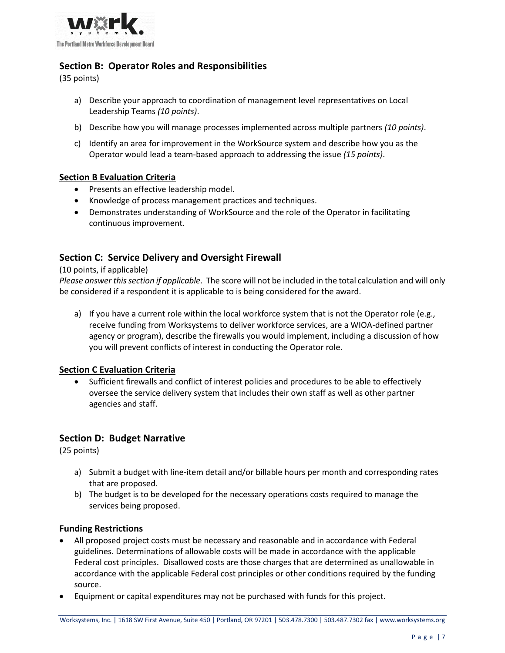

## <span id="page-6-0"></span>**Section B: Operator Roles and Responsibilities**

(35 points)

- a) Describe your approach to coordination of management level representatives on Local Leadership Teams *(10 points)*.
- b) Describe how you will manage processes implemented across multiple partners *(10 points)*.
- c) Identify an area for improvement in the WorkSource system and describe how you as the Operator would lead a team-based approach to addressing the issue *(15 points)*.

#### **Section B Evaluation Criteria**

- Presents an effective leadership model.
- Knowledge of process management practices and techniques.
- Demonstrates understanding of WorkSource and the role of the Operator in facilitating continuous improvement.

## <span id="page-6-1"></span>**Section C: Service Delivery and Oversight Firewall**

#### (10 points, if applicable)

*Please answer this section if applicable*. The score will not be included in the total calculation and will only be considered if a respondent it is applicable to is being considered for the award.

a) If you have a current role within the local workforce system that is not the Operator role (e.g., receive funding from Worksystems to deliver workforce services, are a WIOA-defined partner agency or program), describe the firewalls you would implement, including a discussion of how you will prevent conflicts of interest in conducting the Operator role.

#### **Section C Evaluation Criteria**

• Sufficient firewalls and conflict of interest policies and procedures to be able to effectively oversee the service delivery system that includes their own staff as well as other partner agencies and staff.

#### <span id="page-6-2"></span>**Section D: Budget Narrative**

(25 points)

- a) Submit a budget with line-item detail and/or billable hours per month and corresponding rates that are proposed.
- b) The budget is to be developed for the necessary operations costs required to manage the services being proposed.

#### **Funding Restrictions**

- All proposed project costs must be necessary and reasonable and in accordance with Federal guidelines. Determinations of allowable costs will be made in accordance with the applicable Federal cost principles. Disallowed costs are those charges that are determined as unallowable in accordance with the applicable Federal cost principles or other conditions required by the funding source.
- Equipment or capital expenditures may not be purchased with funds for this project.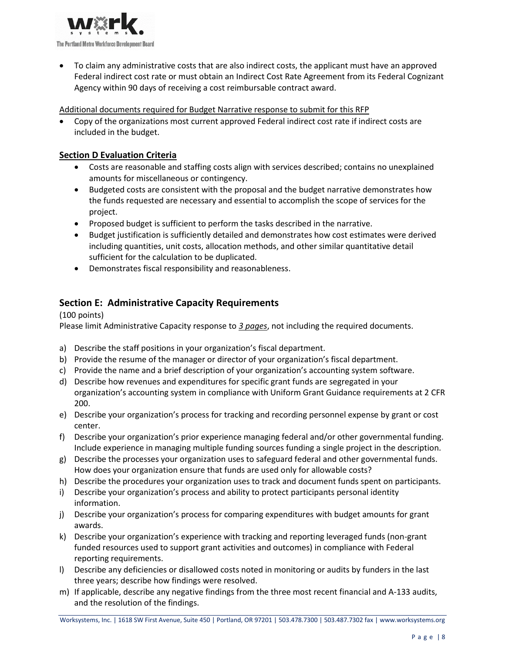

• To claim any administrative costs that are also indirect costs, the applicant must have an approved Federal indirect cost rate or must obtain an Indirect Cost Rate Agreement from its Federal Cognizant Agency within 90 days of receiving a cost reimbursable contract award.

#### Additional documents required for Budget Narrative response to submit for this RFP

• Copy of the organizations most current approved Federal indirect cost rate if indirect costs are included in the budget.

#### **Section D Evaluation Criteria**

- Costs are reasonable and staffing costs align with services described; contains no unexplained amounts for miscellaneous or contingency.
- Budgeted costs are consistent with the proposal and the budget narrative demonstrates how the funds requested are necessary and essential to accomplish the scope of services for the project.
- Proposed budget is sufficient to perform the tasks described in the narrative.
- Budget justification is sufficiently detailed and demonstrates how cost estimates were derived including quantities, unit costs, allocation methods, and other similar quantitative detail sufficient for the calculation to be duplicated.
- Demonstrates fiscal responsibility and reasonableness.

#### <span id="page-7-0"></span>**Section E: Administrative Capacity Requirements**

(100 points)

Please limit Administrative Capacity response to *3 pages*, not including the required documents.

- a) Describe the staff positions in your organization's fiscal department.
- b) Provide the resume of the manager or director of your organization's fiscal department.
- c) Provide the name and a brief description of your organization's accounting system software.
- d) Describe how revenues and expenditures for specific grant funds are segregated in your organization's accounting system in compliance with Uniform Grant Guidance requirements at 2 CFR 200.
- e) Describe your organization's process for tracking and recording personnel expense by grant or cost center.
- f) Describe your organization's prior experience managing federal and/or other governmental funding. Include experience in managing multiple funding sources funding a single project in the description.
- g) Describe the processes your organization uses to safeguard federal and other governmental funds. How does your organization ensure that funds are used only for allowable costs?
- h) Describe the procedures your organization uses to track and document funds spent on participants.
- i) Describe your organization's process and ability to protect participants personal identity information.
- j) Describe your organization's process for comparing expenditures with budget amounts for grant awards.
- k) Describe your organization's experience with tracking and reporting leveraged funds (non-grant funded resources used to support grant activities and outcomes) in compliance with Federal reporting requirements.
- l) Describe any deficiencies or disallowed costs noted in monitoring or audits by funders in the last three years; describe how findings were resolved.
- m) If applicable, describe any negative findings from the three most recent financial and A-133 audits, and the resolution of the findings.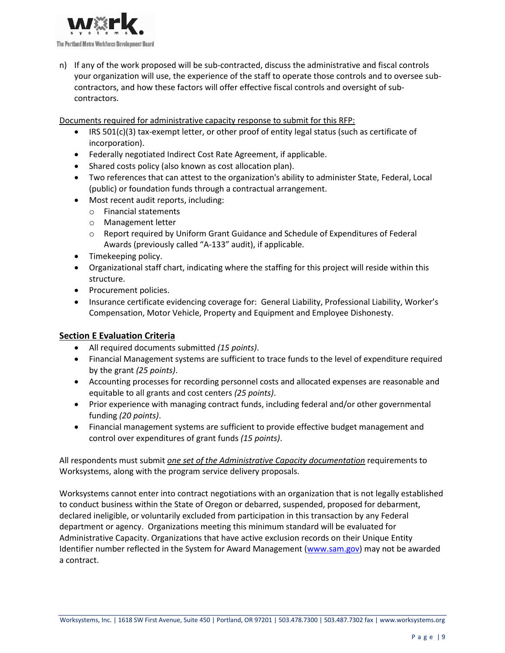

n) If any of the work proposed will be sub-contracted, discuss the administrative and fiscal controls your organization will use, the experience of the staff to operate those controls and to oversee subcontractors, and how these factors will offer effective fiscal controls and oversight of subcontractors.

Documents required for administrative capacity response to submit for this RFP:

- IRS 501(c)(3) tax-exempt letter, or other proof of entity legal status (such as certificate of incorporation).
- Federally negotiated Indirect Cost Rate Agreement, if applicable.
- Shared costs policy (also known as cost allocation plan).
- Two references that can attest to the organization's ability to administer State, Federal, Local (public) or foundation funds through a contractual arrangement.
- Most recent audit reports, including:
	- o Financial statements
	- o Management letter
	- o Report required by Uniform Grant Guidance and Schedule of Expenditures of Federal Awards (previously called "A-133" audit), if applicable.
- Timekeeping policy.
- Organizational staff chart, indicating where the staffing for this project will reside within this structure.
- Procurement policies.
- Insurance certificate evidencing coverage for: General Liability, Professional Liability, Worker's Compensation, Motor Vehicle, Property and Equipment and Employee Dishonesty.

#### **Section E Evaluation Criteria**

- All required documents submitted *(15 points)*.
- Financial Management systems are sufficient to trace funds to the level of expenditure required by the grant *(25 points)*.
- Accounting processes for recording personnel costs and allocated expenses are reasonable and equitable to all grants and cost centers *(25 points)*.
- Prior experience with managing contract funds, including federal and/or other governmental funding *(20 points)*.
- Financial management systems are sufficient to provide effective budget management and control over expenditures of grant funds *(15 points)*.

All respondents must submit *one set of the Administrative Capacity documentation* requirements to Worksystems, along with the program service delivery proposals.

Worksystems cannot enter into contract negotiations with an organization that is not legally established to conduct business within the State of Oregon or debarred, suspended, proposed for debarment, declared ineligible, or voluntarily excluded from participation in this transaction by any Federal department or agency. Organizations meeting this minimum standard will be evaluated for Administrative Capacity. Organizations that have active exclusion records on their Unique Entity Identifier number reflected in the System for Award Management [\(www.sam.gov\)](http://www.sam.gov/) may not be awarded a contract.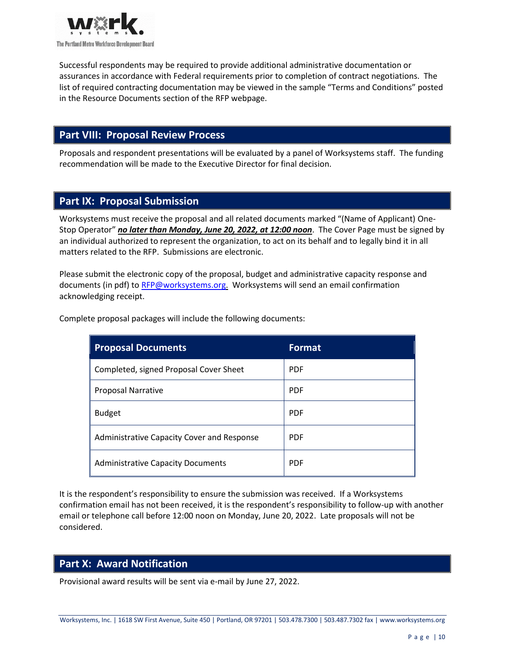

Successful respondents may be required to provide additional administrative documentation or assurances in accordance with Federal requirements prior to completion of contract negotiations. The list of required contracting documentation may be viewed in the sample "Terms and Conditions" posted in the Resource Documents section of the RFP webpage.

## <span id="page-9-0"></span>**Part VIII: Proposal Review Process**

Proposals and respondent presentations will be evaluated by a panel of Worksystems staff. The funding recommendation will be made to the Executive Director for final decision.

# <span id="page-9-1"></span>**Part IX: Proposal Submission**

Worksystems must receive the proposal and all related documents marked "(Name of Applicant) One-Stop Operator" *no later than Monday, June 20, 2022, at 12:00 noon*. The Cover Page must be signed by an individual authorized to represent the organization, to act on its behalf and to legally bind it in all matters related to the RFP. Submissions are electronic.

Please submit the electronic copy of the proposal, budget and administrative capacity response and documents (in pdf) to [RFP@worksystems.org.](mailto:RFP@worksystems.org) Worksystems will send an email confirmation acknowledging receipt.

| <b>Proposal Documents</b>                  | <b>Format</b> |
|--------------------------------------------|---------------|
| Completed, signed Proposal Cover Sheet     | <b>PDF</b>    |
| <b>Proposal Narrative</b>                  | <b>PDF</b>    |
| <b>Budget</b>                              | <b>PDF</b>    |
| Administrative Capacity Cover and Response | <b>PDF</b>    |
| <b>Administrative Capacity Documents</b>   | <b>PDF</b>    |

Complete proposal packages will include the following documents:

It is the respondent's responsibility to ensure the submission was received. If a Worksystems confirmation email has not been received, it is the respondent's responsibility to follow-up with another email or telephone call before 12:00 noon on Monday, June 20, 2022. Late proposals will not be considered.

# <span id="page-9-2"></span>**Part X: Award Notification**

Provisional award results will be sent via e-mail by June 27, 2022.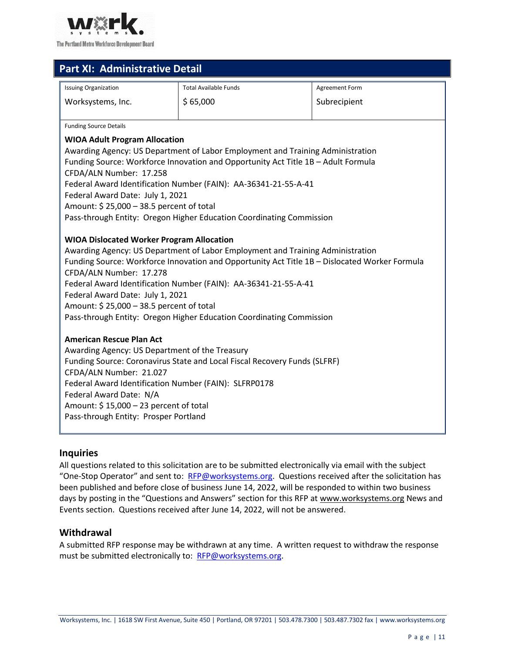

<span id="page-10-0"></span>

| Part XI: Administrative Detail                                                                |                              |                |  |  |  |
|-----------------------------------------------------------------------------------------------|------------------------------|----------------|--|--|--|
| <b>Issuing Organization</b>                                                                   | <b>Total Available Funds</b> | Agreement Form |  |  |  |
| Worksystems, Inc.                                                                             | \$65,000                     | Subrecipient   |  |  |  |
|                                                                                               |                              |                |  |  |  |
| <b>Funding Source Details</b>                                                                 |                              |                |  |  |  |
| <b>WIOA Adult Program Allocation</b>                                                          |                              |                |  |  |  |
| Awarding Agency: US Department of Labor Employment and Training Administration                |                              |                |  |  |  |
| Funding Source: Workforce Innovation and Opportunity Act Title 1B - Adult Formula             |                              |                |  |  |  |
| CFDA/ALN Number: 17.258                                                                       |                              |                |  |  |  |
| Federal Award Identification Number (FAIN): AA-36341-21-55-A-41                               |                              |                |  |  |  |
| Federal Award Date: July 1, 2021<br>Amount: \$25,000 - 38.5 percent of total                  |                              |                |  |  |  |
|                                                                                               |                              |                |  |  |  |
| Pass-through Entity: Oregon Higher Education Coordinating Commission                          |                              |                |  |  |  |
| <b>WIOA Dislocated Worker Program Allocation</b>                                              |                              |                |  |  |  |
| Awarding Agency: US Department of Labor Employment and Training Administration                |                              |                |  |  |  |
| Funding Source: Workforce Innovation and Opportunity Act Title 1B - Dislocated Worker Formula |                              |                |  |  |  |
| CFDA/ALN Number: 17.278                                                                       |                              |                |  |  |  |
| Federal Award Identification Number (FAIN): AA-36341-21-55-A-41                               |                              |                |  |  |  |
| Federal Award Date: July 1, 2021                                                              |                              |                |  |  |  |
| Amount: \$25,000 - 38.5 percent of total                                                      |                              |                |  |  |  |
| Pass-through Entity: Oregon Higher Education Coordinating Commission                          |                              |                |  |  |  |
| <b>American Rescue Plan Act</b>                                                               |                              |                |  |  |  |
| Awarding Agency: US Department of the Treasury                                                |                              |                |  |  |  |
| Funding Source: Coronavirus State and Local Fiscal Recovery Funds (SLFRF)                     |                              |                |  |  |  |
| CFDA/ALN Number: 21.027                                                                       |                              |                |  |  |  |
| Federal Award Identification Number (FAIN): SLFRP0178                                         |                              |                |  |  |  |
| Federal Award Date: N/A                                                                       |                              |                |  |  |  |
| Amount: $$15,000 - 23$ percent of total                                                       |                              |                |  |  |  |
| Pass-through Entity: Prosper Portland                                                         |                              |                |  |  |  |
|                                                                                               |                              |                |  |  |  |

#### <span id="page-10-1"></span>**Inquiries**

All questions related to this solicitation are to be submitted electronically via email with the subject "One-Stop Operator" and sent to: [RFP@worksystems.org.](mailto:RFP@worksystems.org) Questions received after the solicitation has been published and before close of business June 14, 2022, will be responded to within two business days by posting in the "Questions and Answers" section for this RFP at [www.worksystems.org](http://www.worksystems.org/) News and Events section. Questions received after June 14, 2022, will not be answered.

#### <span id="page-10-2"></span>**Withdrawal**

A submitted RFP response may be withdrawn at any time. A written request to withdraw the response must be submitted electronically to: [RFP@worksystems.org.](mailto:RFP@worksystems.org)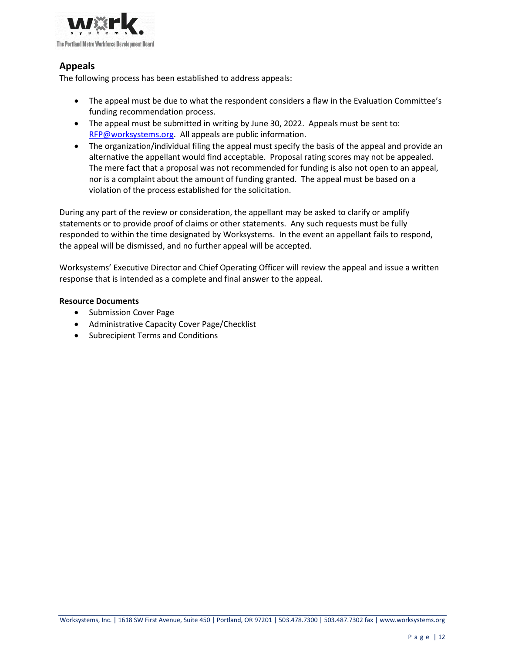

## <span id="page-11-0"></span>**Appeals**

The following process has been established to address appeals:

- The appeal must be due to what the respondent considers a flaw in the Evaluation Committee's funding recommendation process.
- The appeal must be submitted in writing by June 30, 2022. Appeals must be sent to: [RFP@worksystems.org.](mailto:RFP@worksystems.org) All appeals are public information.
- The organization/individual filing the appeal must specify the basis of the appeal and provide an alternative the appellant would find acceptable. Proposal rating scores may not be appealed. The mere fact that a proposal was not recommended for funding is also not open to an appeal, nor is a complaint about the amount of funding granted. The appeal must be based on a violation of the process established for the solicitation.

During any part of the review or consideration, the appellant may be asked to clarify or amplify statements or to provide proof of claims or other statements. Any such requests must be fully responded to within the time designated by Worksystems. In the event an appellant fails to respond, the appeal will be dismissed, and no further appeal will be accepted.

Worksystems' Executive Director and Chief Operating Officer will review the appeal and issue a written response that is intended as a complete and final answer to the appeal.

#### <span id="page-11-1"></span>**Resource Documents**

- Submission Cover Page
- Administrative Capacity Cover Page/Checklist
- Subrecipient Terms and Conditions